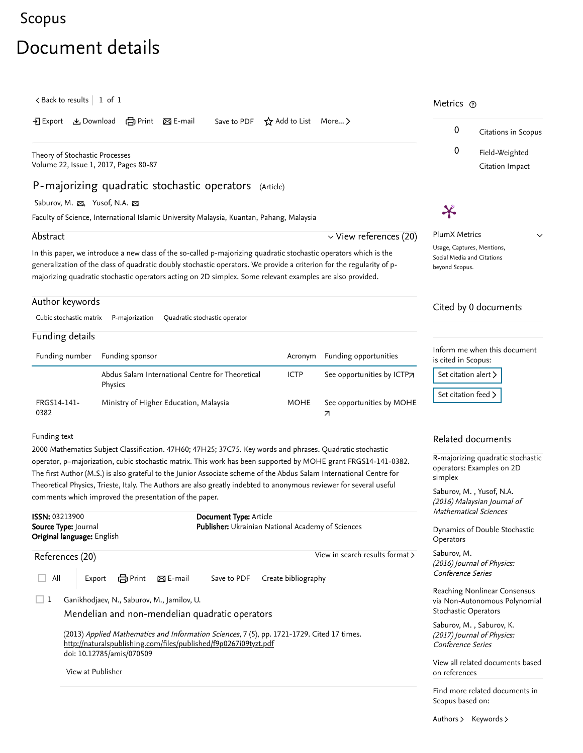## <span id="page-0-1"></span>[Scopus](https://www.scopus.com/home.uri?zone=header&origin=searchbasic)

## Document details

<span id="page-0-0"></span>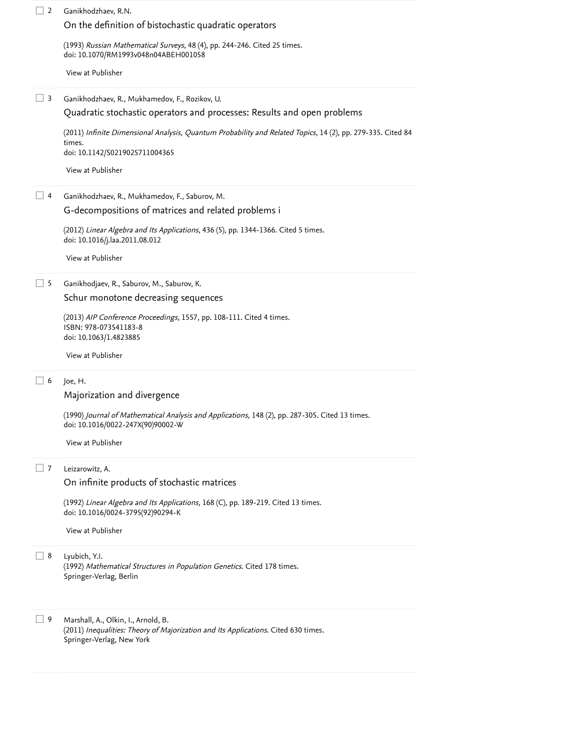| 2                          | Ganikhodzhaev, R.N.                                                                                                                                    |  |  |  |
|----------------------------|--------------------------------------------------------------------------------------------------------------------------------------------------------|--|--|--|
|                            | On the definition of bistochastic quadratic operators                                                                                                  |  |  |  |
|                            | (1993) Russian Mathematical Surveys, 48 (4), pp. 244-246. Cited 25 times.<br>doi: 10.1070/RM1993v048n04ABEH001058                                      |  |  |  |
|                            | View at Publisher                                                                                                                                      |  |  |  |
| $\perp$ 3                  | Ganikhodzhaev, R., Mukhamedov, F., Rozikov, U.                                                                                                         |  |  |  |
|                            | Quadratic stochastic operators and processes: Results and open problems                                                                                |  |  |  |
|                            | (2011) Infinite Dimensional Analysis, Quantum Probability and Related Topics, 14 (2), pp. 279-335. Cited 84<br>times.                                  |  |  |  |
|                            | doi: 10.1142/S0219025711004365                                                                                                                         |  |  |  |
|                            | View at Publisher                                                                                                                                      |  |  |  |
| ⊿ 4                        | Ganikhodzhaev, R., Mukhamedov, F., Saburov, M.                                                                                                         |  |  |  |
|                            | G-decompositions of matrices and related problems i                                                                                                    |  |  |  |
|                            | (2012) Linear Algebra and Its Applications, 436 (5), pp. 1344-1366. Cited 5 times.<br>doi: 10.1016/j.laa.2011.08.012                                   |  |  |  |
|                            | View at Publisher                                                                                                                                      |  |  |  |
| $\Box$ 5                   | Ganikhodjaev, R., Saburov, M., Saburov, K.                                                                                                             |  |  |  |
|                            | Schur monotone decreasing sequences                                                                                                                    |  |  |  |
|                            | (2013) AIP Conference Proceedings, 1557, pp. 108-111. Cited 4 times.<br>ISBN: 978-073541183-8<br>doi: 10.1063/1.4823885                                |  |  |  |
|                            | View at Publisher                                                                                                                                      |  |  |  |
| □ 6                        | Joe, H.                                                                                                                                                |  |  |  |
|                            | Majorization and divergence                                                                                                                            |  |  |  |
|                            | (1990) Journal of Mathematical Analysis and Applications, 148 (2), pp. 287-305. Cited 13 times.<br>doi: 10.1016/0022-247X(90)90002-W                   |  |  |  |
|                            | View at Publisher                                                                                                                                      |  |  |  |
| $\overline{\phantom{0}}$ 7 | Leizarowitz, A.                                                                                                                                        |  |  |  |
|                            | On infinite products of stochastic matrices                                                                                                            |  |  |  |
|                            | (1992) Linear Algebra and Its Applications, 168 (C), pp. 189-219. Cited 13 times.<br>doi: 10.1016/0024-3795(92)90294-K                                 |  |  |  |
|                            | View at Publisher                                                                                                                                      |  |  |  |
| 8                          | Lyubich, Y.I.<br>(1992) Mathematical Structures in Population Genetics. Cited 178 times.<br>Springer-Verlag, Berlin                                    |  |  |  |
| 9                          | Marshall, A., Olkin, I., Arnold, B.<br>(2011) Inequalities: Theory of Majorization and Its Applications. Cited 630 times.<br>Springer-Verlag, New York |  |  |  |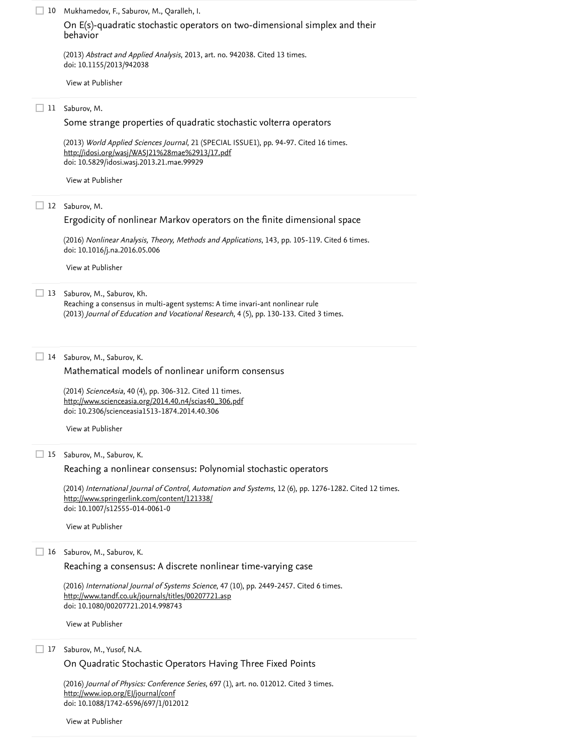| 10 | Mukhamedov, F., Saburov, M., Qaralleh, I.<br>On E(s)-quadratic stochastic operators on two-dimensional simplex and their<br>behavior                                                                  |  |  |  |
|----|-------------------------------------------------------------------------------------------------------------------------------------------------------------------------------------------------------|--|--|--|
|    | (2013) Abstract and Applied Analysis, 2013, art. no. 942038. Cited 13 times.<br>doi: 10.1155/2013/942038                                                                                              |  |  |  |
|    | View at Publisher                                                                                                                                                                                     |  |  |  |
| 11 | Saburov, M.                                                                                                                                                                                           |  |  |  |
|    | Some strange properties of quadratic stochastic volterra operators                                                                                                                                    |  |  |  |
|    | (2013) World Applied Sciences Journal, 21 (SPECIAL ISSUE1), pp. 94-97. Cited 16 times.<br>http://idosi.org/wasj/WASJ21%28mae%2913/17.pdf<br>doi: 10.5829/idosi.wasj.2013.21.mae.99929                 |  |  |  |
|    | View at Publisher                                                                                                                                                                                     |  |  |  |
|    | 12 Saburov, M.                                                                                                                                                                                        |  |  |  |
|    | Ergodicity of nonlinear Markov operators on the finite dimensional space                                                                                                                              |  |  |  |
|    | (2016) Nonlinear Analysis, Theory, Methods and Applications, 143, pp. 105-119. Cited 6 times.<br>doi: 10.1016/j.na.2016.05.006                                                                        |  |  |  |
|    | View at Publisher                                                                                                                                                                                     |  |  |  |
| 13 | Saburov, M., Saburov, Kh.<br>Reaching a consensus in multi-agent systems: A time invari-ant nonlinear rule<br>(2013) Journal of Education and Vocational Research, 4 (5), pp. 130-133. Cited 3 times. |  |  |  |
| 14 | Saburov, M., Saburov, K.<br>Mathematical models of nonlinear uniform consensus                                                                                                                        |  |  |  |
|    |                                                                                                                                                                                                       |  |  |  |
|    | (2014) ScienceAsia, 40 (4), pp. 306-312. Cited 11 times.<br>http://www.scienceasia.org/2014.40.n4/scias40_306.pdf<br>doi: 10.2306/scienceasia1513-1874.2014.40.306                                    |  |  |  |
|    | View at Publisher                                                                                                                                                                                     |  |  |  |
| 15 | Saburov, M., Saburov, K.                                                                                                                                                                              |  |  |  |
|    | Reaching a nonlinear consensus: Polynomial stochastic operators                                                                                                                                       |  |  |  |
|    | (2014) International Journal of Control, Automation and Systems, 12 (6), pp. 1276-1282. Cited 12 times.<br>http://www.springerlink.com/content/121338/<br>doi: 10.1007/s12555-014-0061-0              |  |  |  |
|    | View at Publisher                                                                                                                                                                                     |  |  |  |
| 16 | Saburov, M., Saburov, K.                                                                                                                                                                              |  |  |  |
|    | Reaching a consensus: A discrete nonlinear time-varying case                                                                                                                                          |  |  |  |
|    | (2016) International Journal of Systems Science, 47 (10), pp. 2449-2457. Cited 6 times.<br>http://www.tandf.co.uk/journals/titles/00207721.asp<br>doi: 10.1080/00207721.2014.998743                   |  |  |  |
|    | View at Publisher                                                                                                                                                                                     |  |  |  |
| 17 | Saburov, M., Yusof, N.A.                                                                                                                                                                              |  |  |  |
|    | On Quadratic Stochastic Operators Having Three Fixed Points                                                                                                                                           |  |  |  |
|    | (2016) Journal of Physics: Conference Series, 697 (1), art. no. 012012. Cited 3 times.<br>http://www.iop.org/EJ/journal/conf                                                                          |  |  |  |

[View at Publisher](https://www.scopus.com/redirect/linking.uri?targetURL=https%3a%2f%2fdoi.org%2f10.1088%2f1742-6596%2f697%2f1%2f012012&locationID=3&categoryID=4&eid=2-s2.0-84964674954&issn=17426596&linkType=ViewAtPublisher&year=2016&origin=reflist&dig=9cae27e73ec76f0482c91671d3a164ee&recordRank=)

doi: 10.1088/1742-6596/697/1/012012